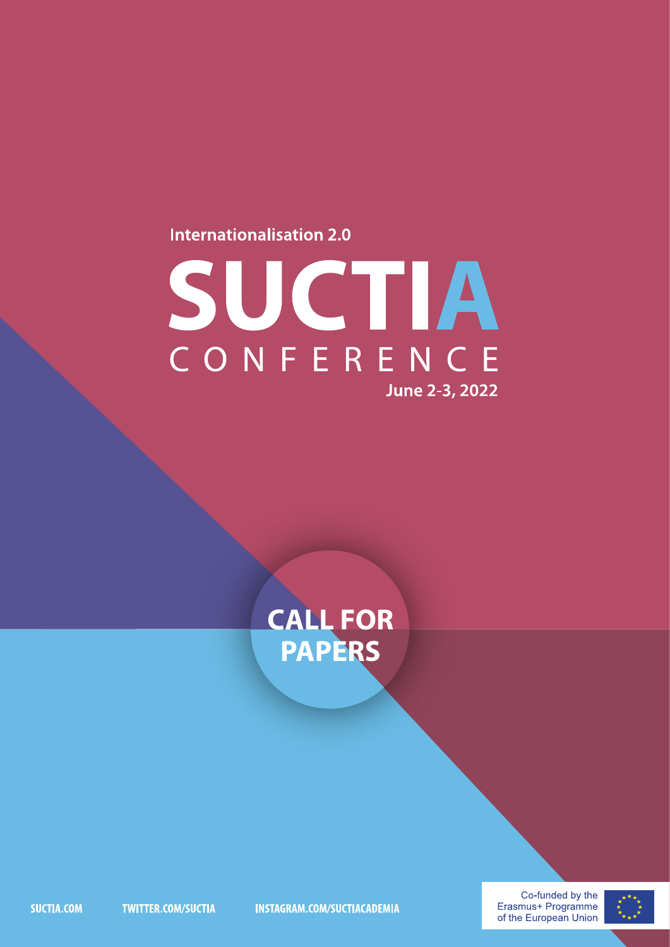#### **Internationalisation 2.0**

# SUCTIA June 2-3, 2022

## **CALL FOR<br>PAPERS**

SUCTIA.COM

**TWITTER.COM/SUCTIA** 

**INSTAGRAM.COM/SUCTIACADEMIA** 

Co-funded by the Erasmus+ Programme of the European Union

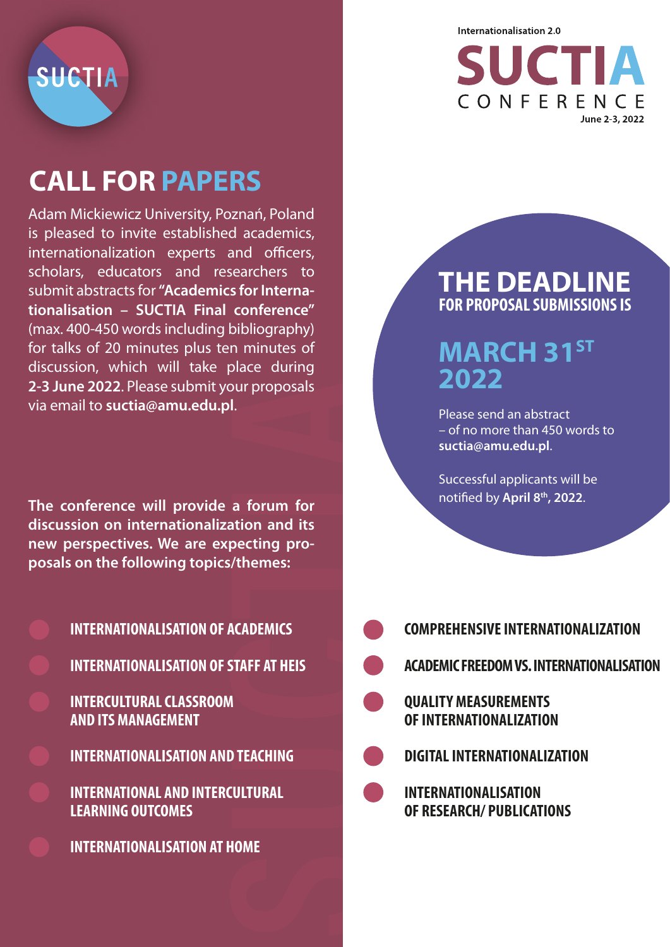SUCTIA

## **CALL FOR PAPERS**

Adam Mickiewicz University, Poznań, Poland is pleased to invite established academics, internationalization experts and officers, scholars, educators and researchers to submit abstracts for **"Academics for Internationalisation – SUCTIA Final conference"** (max. 400-450 words including bibliography) for talks of 20 minutes plus ten minutes of discussion, which will take place during **2-3 June 2022**. Please submit your proposals via email to **suctia@amu.edu.pl**.

**The conference will provide a forum for discussion on internationalization and its new perspectives. We are expecting proposals on the following topics/themes:** 

**INTERNATIONALISATION OF ACADEMICS INTERNATIONALISATION OF STAFF AT HEIS INTERCULTURAL CLASSROOM AND ITS MANAGEMENT INTERNATIONALISATION AND TEACHING INTERNATIONAL AND INTERCULTURAL LEARNING OUTCOMES**

**INTERNATIONALISATION AT HOME**



#### **THE DEADLINE FOR PROPOSAL SUBMISSIONS IS**

### **MARCH 31ST 2022**

Please send an abstract – of no more than 450 words to **suctia@amu.edu.pl**.

Successful applicants will be notified by April 8<sup>th</sup>, 2022.

| <b>COMPREHENSIVE INTERNATIONALIZATION</b>                       |
|-----------------------------------------------------------------|
| <b>ACADEMIC FREEDOM VS. INTERNATIONALISATION</b>                |
| <b>QUALITY MEASUREMENTS</b><br>OF INTERNATIONALIZATION          |
| <b>DIGITAL INTERNATIONALIZATION</b>                             |
| <b>INTERNATIONALISATION</b><br><b>OF RESEARCH/ PUBLICATIONS</b> |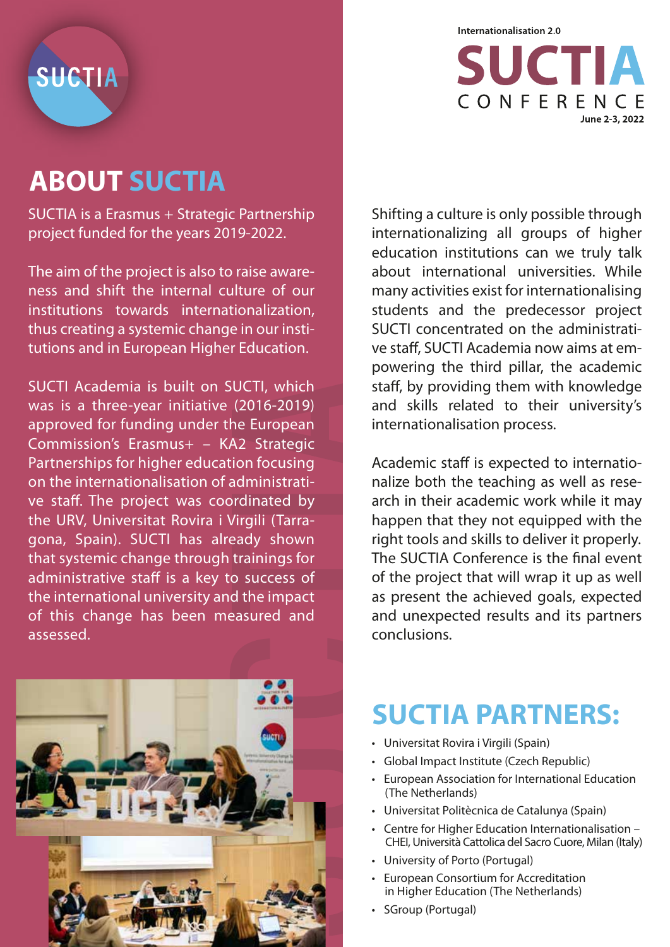

## **ABOUT SUCTIA**

SUCTIA is a Erasmus + Strategic Partnership project funded for the years 2019-2022.

The aim of the project is also to raise awareness and shift the internal culture of our institutions towards internationalization, thus creating a systemic change in our institutions and in European Higher Education.

SUCTI Academia is built on SUCTI, which was is a three-year initiative (2016-2019) approved for funding under the European Commission's Erasmus+ – KA2 Strategic Partnerships for higher education focusing on the internationalisation of administrative staff. The project was coordinated by the URV, Universitat Rovira i Virgili (Tarragona, Spain). SUCTI has already shown that systemic change through trainings for administrative staff is a key to success of the international university and the impact of this change has been measured and assessed.





Shifting a culture is only possible through internationalizing all groups of higher education institutions can we truly talk about international universities. While many activities exist for internationalising students and the predecessor project SUCTI concentrated on the administrative staff, SUCTI Academia now aims at empowering the third pillar, the academic staff, by providing them with knowledge and skills related to their university's internationalisation process.

Academic staff is expected to internationalize both the teaching as well as research in their academic work while it may happen that they not equipped with the right tools and skills to deliver it properly. The SUCTIA Conference is the final event of the project that will wrap it up as well as present the achieved goals, expected and unexpected results and its partners conclusions.

## **SUCTIA PARTNERS:**

- Universitat Rovira i Virgili (Spain)
- Global Impact Institute (Czech Republic)
- European Association for International Education (The Netherlands)
- Universitat Politècnica de Catalunya (Spain)
- Centre for Higher Education Internationalisation CHEI, Università Cattolica del Sacro Cuore, Milan (Italy)
- University of Porto (Portugal)
- European Consortium for Accreditation in Higher Education (The Netherlands)
- SGroup (Portugal)